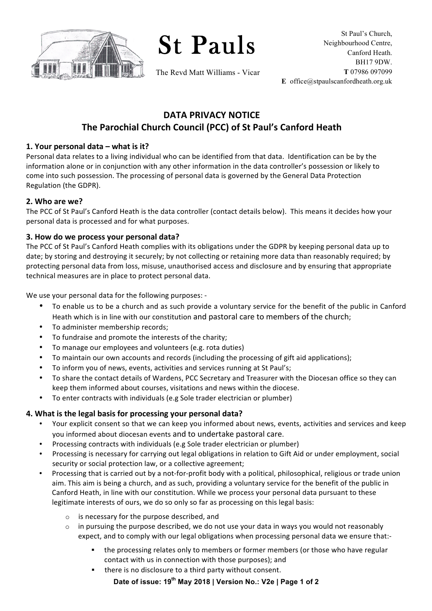

St Pauls

The Revd Matt Williams - Vicar

# **DATA PRIVACY NOTICE The Parochial Church Council (PCC) of St Paul's Canford Heath**

### **1. Your personal data – what is it?**

Personal data relates to a living individual who can be identified from that data. Identification can be by the information alone or in conjunction with any other information in the data controller's possession or likely to come into such possession. The processing of personal data is governed by the General Data Protection Regulation (the GDPR).

#### **2. Who are we?**

The PCC of St Paul's Canford Heath is the data controller (contact details below). This means it decides how your personal data is processed and for what purposes.

#### **3. How do we process your personal data?**

The PCC of St Paul's Canford Heath complies with its obligations under the GDPR by keeping personal data up to date; by storing and destroying it securely; by not collecting or retaining more data than reasonably required; by protecting personal data from loss, misuse, unauthorised access and disclosure and by ensuring that appropriate technical measures are in place to protect personal data.

We use your personal data for the following purposes: -

- To enable us to be a church and as such provide a voluntary service for the benefit of the public in Canford Heath which is in line with our constitution and pastoral care to members of the church;
- To administer membership records;
- To fundraise and promote the interests of the charity;
- To manage our employees and volunteers (e.g. rota duties)
- To maintain our own accounts and records (including the processing of gift aid applications);
- To inform you of news, events, activities and services running at St Paul's;
- To share the contact details of Wardens, PCC Secretary and Treasurer with the Diocesan office so they can keep them informed about courses, visitations and news within the diocese.
- To enter contracts with individuals (e.g Sole trader electrician or plumber)

## 4. What is the legal basis for processing your personal data?

- Your explicit consent so that we can keep you informed about news, events, activities and services and keep you informed about diocesan events and to undertake pastoral care.
- Processing contracts with individuals (e.g Sole trader electrician or plumber)
- Processing is necessary for carrying out legal obligations in relation to Gift Aid or under employment, social security or social protection law, or a collective agreement;
- Processing that is carried out by a not-for-profit body with a political, philosophical, religious or trade union aim. This aim is being a church, and as such, providing a voluntary service for the benefit of the public in Canford Heath, in line with our constitution. While we process your personal data pursuant to these legitimate interests of ours, we do so only so far as processing on this legal basis:
	- is necessary for the purpose described, and
	- $\circ$  in pursuing the purpose described, we do not use your data in ways you would not reasonably expect, and to comply with our legal obligations when processing personal data we ensure that:
		- the processing relates only to members or former members (or those who have regular contact with us in connection with those purposes); and
		- there is no disclosure to a third party without consent.

## **Date of issue: 19th May 2018 | Version No.: V2e | Page 1 of 2**